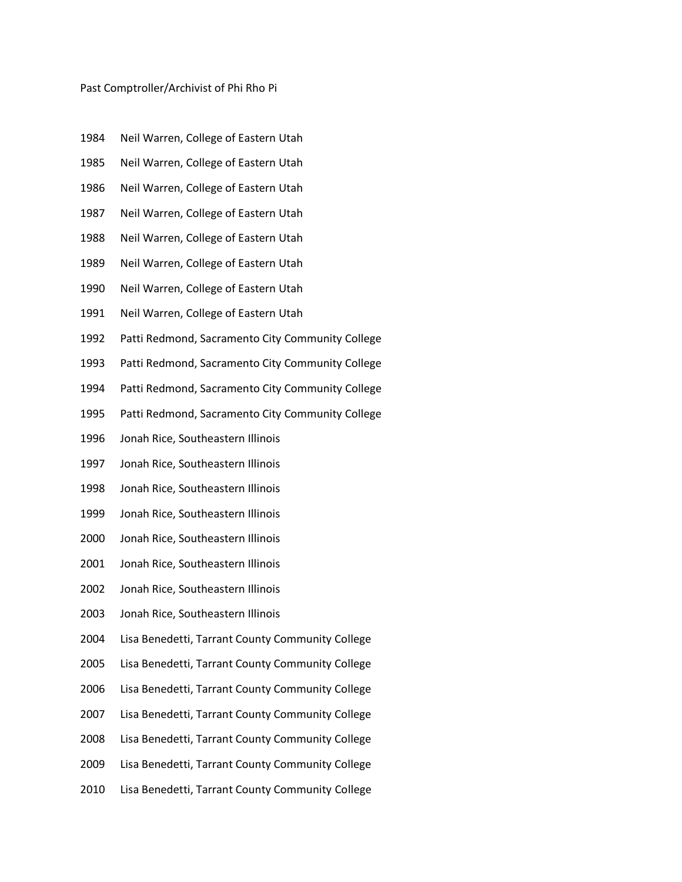## Past Comptroller/Archivist of Phi Rho Pi

- Neil Warren, College of Eastern Utah
- Neil Warren, College of Eastern Utah
- Neil Warren, College of Eastern Utah
- Neil Warren, College of Eastern Utah
- Neil Warren, College of Eastern Utah
- Neil Warren, College of Eastern Utah
- Neil Warren, College of Eastern Utah
- Neil Warren, College of Eastern Utah
- Patti Redmond, Sacramento City Community College
- Patti Redmond, Sacramento City Community College
- Patti Redmond, Sacramento City Community College
- Patti Redmond, Sacramento City Community College
- Jonah Rice, Southeastern Illinois
- Jonah Rice, Southeastern Illinois
- Jonah Rice, Southeastern Illinois
- Jonah Rice, Southeastern Illinois
- Jonah Rice, Southeastern Illinois
- Jonah Rice, Southeastern Illinois
- Jonah Rice, Southeastern Illinois
- Jonah Rice, Southeastern Illinois
- Lisa Benedetti, Tarrant County Community College
- Lisa Benedetti, Tarrant County Community College
- Lisa Benedetti, Tarrant County Community College
- Lisa Benedetti, Tarrant County Community College
- Lisa Benedetti, Tarrant County Community College
- Lisa Benedetti, Tarrant County Community College
- Lisa Benedetti, Tarrant County Community College